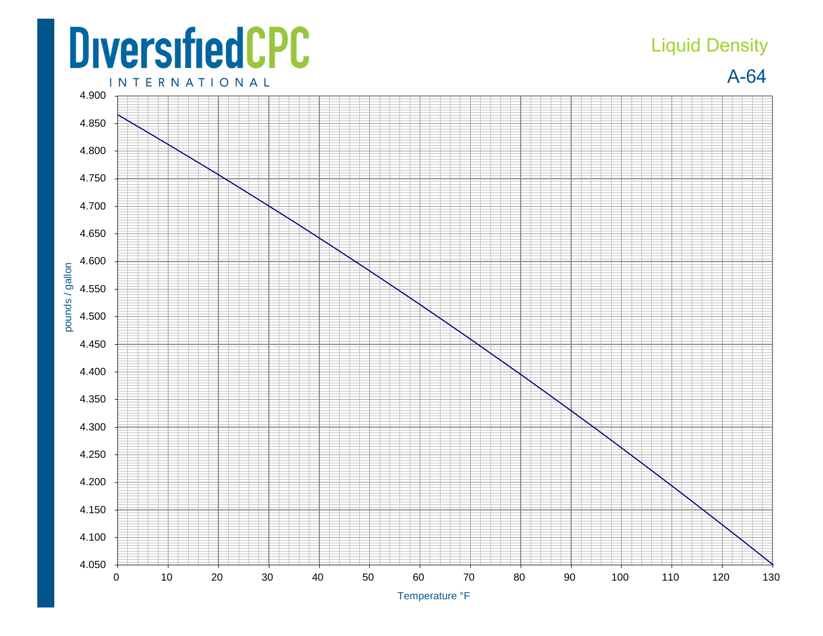## **DiversifiedCPC**

## Liquid Density

A-64



Temperature °F